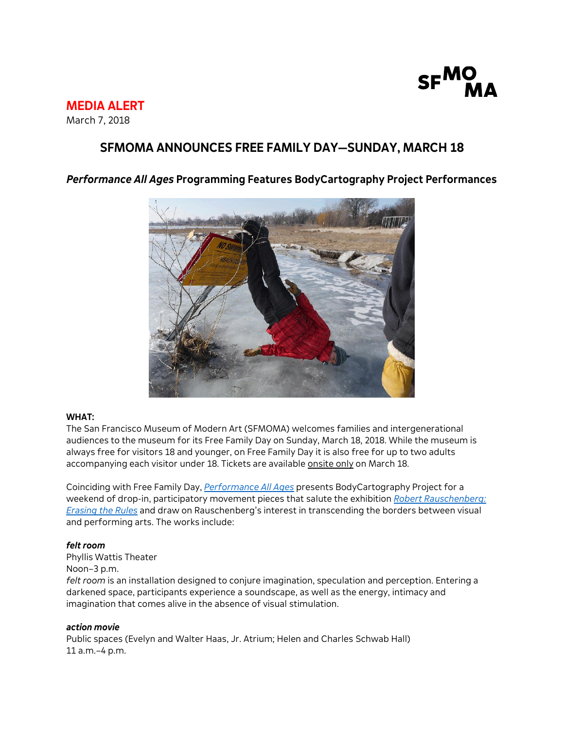

# **MEDIA ALERT**

March 7, 2018

### **SFMOMA ANNOUNCES FREE FAMILY DAY—SUNDAY, MARCH 18**

#### *Performance All Ages* **Programming Features BodyCartography Project Performances**



#### **WHAT:**

The San Francisco Museum of Modern Art (SFMOMA) welcomes families and intergenerational audiences to the museum for its Free Family Day on Sunday, March 18, 2018. While the museum is always free for visitors 18 and younger, on Free Family Day it is also free for up to two adults accompanying each visitor under 18. Tickets are available onsite only on March 18.

Coinciding with Free Family Day, *[Performance All Ages](https://www.sfmoma.org/performance-all-ages)* presents BodyCartography Project for a weekend of drop-in, participatory movement pieces that salute the exhibition *[Robert Rauschenberg:](https://www.sfmoma.org/exhibition/robert-rauschenberg-erasing-rules/)  [Erasing the Rules](https://www.sfmoma.org/exhibition/robert-rauschenberg-erasing-rules/)* and draw on Rauschenberg's interest in transcending the borders between visual and performing arts. The works include:

#### *felt room*

Phyllis Wattis Theater Noon–3 p.m. *felt room* is an installation designed to conjure imagination, speculation and perception. Entering a darkened space, participants experience a soundscape, as well as the energy, intimacy and imagination that comes alive in the absence of visual stimulation.

#### *action movie*

Public spaces (Evelyn and Walter Haas, Jr. Atrium; Helen and Charles Schwab Hall) 11 a.m.–4 p.m.